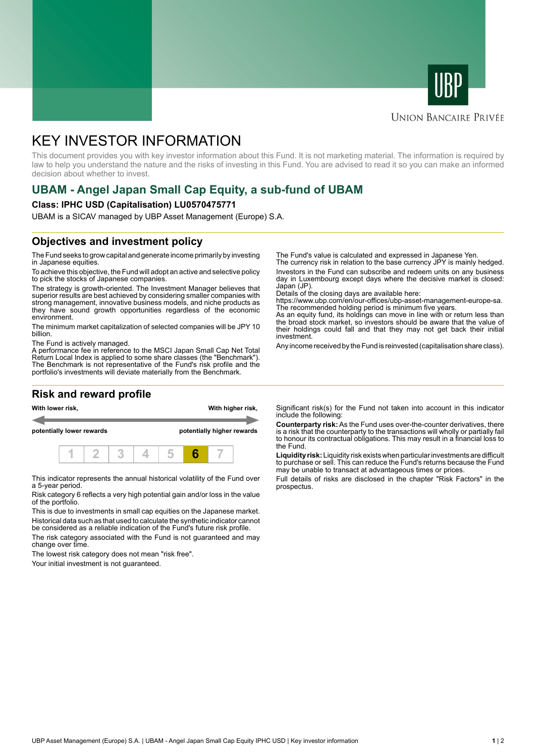



#### **UNION BANCAIRE PRIVÉE**

# KEY INVESTOR INFORMATION

This document provides you with key investor information about this Fund. It is not marketing material. The information is required by law to help you understand the nature and the risks of investing in this Fund. You are advised to read it so you can make an informed decision about whether to invest.

## **UBAM - Angel Japan Small Cap Equity, a sub-fund of UBAM**

#### **Class: IPHC USD (Capitalisation) LU0570475771**

UBAM is a SICAV managed by UBP Asset Management (Europe) S.A.

### **Objectives and investment policy**

The Fund seeks to grow capital and generate income primarily by investing in Japanese equities.

To achieve this objective, the Fund will adopt an active and selective policy to pick the stocks of Japanese companies.

The strategy is growth-oriented. The Investment Manager believes that superior results are best achieved by considering smaller companies with strong management, innovative business models, and niche products as they have sound growth opportunities regardless of the economic environment.

The minimum market capitalization of selected companies will be JPY 10 billion.

The Fund is actively managed.

A performance fee in reference to the MSCI Japan Small Cap Net Total Return Local Index is applied to some share classes (the "Benchmark"). The Benchmark is not representative of the Fund's risk profile and the portfolio's investments will deviate materially from the Benchmark.

### **Risk and reward profile**



This indicator represents the annual historical volatility of the Fund over a 5-year period.

Risk category 6 reflects a very high potential gain and/or loss in the value of the portfolio.

This is due to investments in small cap equities on the Japanese market. Historical data such as that used to calculate the synthetic indicator cannot be considered as a reliable indication of the Fund's future risk profile.

The risk category associated with the Fund is not guaranteed and may change over time.

The lowest risk category does not mean "risk free".

Your initial investment is not guaranteed.

The Fund's value is calculated and expressed in Japanese Yen.

The currency risk in relation to the base currency JPY is mainly hedged. Investors in the Fund can subscribe and redeem units on any business day in Luxembourg except days where the decisive market is closed: Japan (JP)

Details of the closing days are available here:

https://www.ubp.com/en/our-offices/ubp-asset-management-europe-sa. The recommended holding period is minimum five years.

As an equity fund, its holdings can move in line with or return less than the broad stock market, so investors should be aware that the value of their holdings could fall and that they may not get back their initial investment.

Any income received by the Fund is reinvested (capitalisation share class).

Significant risk(s) for the Fund not taken into account in this indicator include the following:

**Counterparty risk:** As the Fund uses over-the-counter derivatives, there is a risk that the counterparty to the transactions will wholly or partially fail to honour its contractual obligations. This may result in a financial loss to the Fund.

**Liquidity risk:** Liquidity risk exists when particular investments are difficult to purchase or sell. This can reduce the Fund's returns because the Fund may be unable to transact at advantageous times or prices.

Full details of risks are disclosed in the chapter "Risk Factors" in the prospectus.